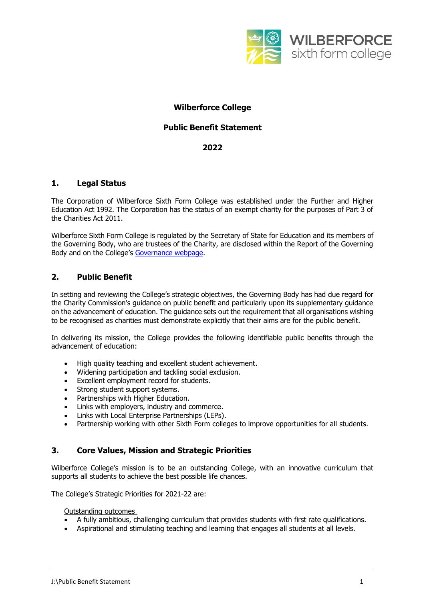

# **Wilberforce College**

### **Public Benefit Statement**

### **2022**

### **1. Legal Status**

The Corporation of Wilberforce Sixth Form College was established under the Further and Higher Education Act 1992. The Corporation has the status of an exempt charity for the purposes of Part 3 of the Charities Act 2011.

Wilberforce Sixth Form College is regulated by the Secretary of State for Education and its members of the Governing Body, who are trustees of the Charity, are disclosed within the Report of the Governing Body and on the College's [Governance webpage.](https://wilberforce.ac.uk/about/governance/)

# **2. Public Benefit**

In setting and reviewing the College's strategic objectives, the Governing Body has had due regard for the Charity Commission's guidance on public benefit and particularly upon its supplementary guidance on the advancement of education. The guidance sets out the requirement that all organisations wishing to be recognised as charities must demonstrate explicitly that their aims are for the public benefit.

In delivering its mission, the College provides the following identifiable public benefits through the advancement of education:

- High quality teaching and excellent student achievement.<br>• Widening participation and tackling social exclusion
- Widening participation and tackling social exclusion.
- Excellent employment record for students.
- Strong student support systems.
- Partnerships with Higher Education.
- Links with employers, industry and commerce.
- Links with Local Enterprise Partnerships (LEPs).
- Partnership working with other Sixth Form colleges to improve opportunities for all students.

### **3. Core Values, Mission and Strategic Priorities**

Wilberforce College's mission is to be an outstanding College, with an innovative curriculum that supports all students to achieve the best possible life chances.

The College's Strategic Priorities for 2021-22 are:

Outstanding outcomes

- A fully ambitious, challenging curriculum that provides students with first rate qualifications.
- Aspirational and stimulating teaching and learning that engages all students at all levels.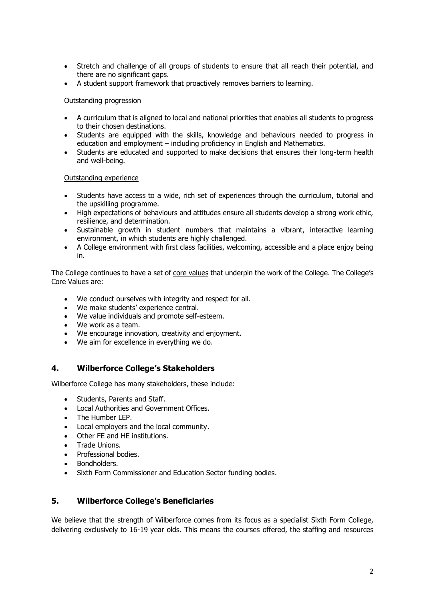- Stretch and challenge of all groups of students to ensure that all reach their potential, and there are no significant gaps.
- A student support framework that proactively removes barriers to learning.

#### Outstanding progression

- A curriculum that is aligned to local and national priorities that enables all students to progress to their chosen destinations.
- Students are equipped with the skills, knowledge and behaviours needed to progress in education and employment – including proficiency in English and Mathematics.
- Students are educated and supported to make decisions that ensures their long-term health and well-being.

#### Outstanding experience

- Students have access to a wide, rich set of experiences through the curriculum, tutorial and the upskilling programme.
- High expectations of behaviours and attitudes ensure all students develop a strong work ethic, resilience, and determination.
- Sustainable growth in student numbers that maintains a vibrant, interactive learning environment, in which students are highly challenged.
- A College environment with first class facilities, welcoming, accessible and a place enjoy being in.

The College continues to have a set of core values that underpin the work of the College. The College's Core Values are:

- We conduct ourselves with integrity and respect for all.
- We make students' experience central.
- We value individuals and promote self-esteem.
- We work as a team.
- We encourage innovation, creativity and enjoyment.
- We aim for excellence in everything we do.

# **4. Wilberforce College's Stakeholders**

Wilberforce College has many stakeholders, these include:

- Students, Parents and Staff.
- Local Authorities and Government Offices.
- The Humber LEP.
- Local employers and the local community.
- Other FE and HE institutions.
- Trade Unions.
- Professional bodies.
- Bondholders.
- Sixth Form Commissioner and Education Sector funding bodies.

### **5. Wilberforce College's Beneficiaries**

We believe that the strength of Wilberforce comes from its focus as a specialist Sixth Form College, delivering exclusively to 16-19 year olds. This means the courses offered, the staffing and resources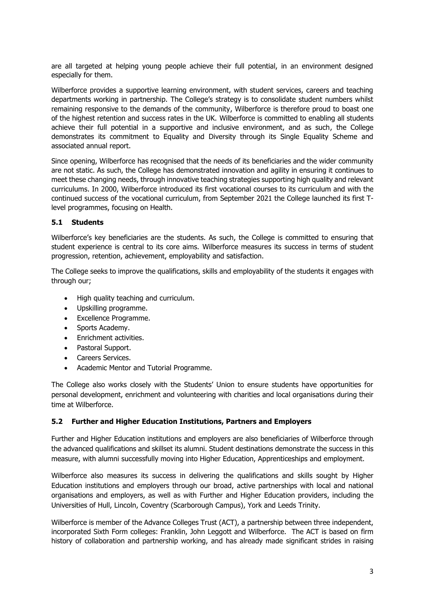are all targeted at helping young people achieve their full potential, in an environment designed especially for them.

Wilberforce provides a supportive learning environment, with student services, careers and teaching departments working in partnership. The College's strategy is to consolidate student numbers whilst remaining responsive to the demands of the community, Wilberforce is therefore proud to boast one of the highest retention and success rates in the UK. Wilberforce is committed to enabling all students achieve their full potential in a supportive and inclusive environment, and as such, the College demonstrates its commitment to Equality and Diversity through its Single Equality Scheme and associated annual report.

Since opening, Wilberforce has recognised that the needs of its beneficiaries and the wider community are not static. As such, the College has demonstrated innovation and agility in ensuring it continues to meet these changing needs, through innovative teaching strategies supporting high quality and relevant curriculums. In 2000, Wilberforce introduced its first vocational courses to its curriculum and with the continued success of the vocational curriculum, from September 2021 the College launched its first Tlevel programmes, focusing on Health.

#### **5.1 Students**

Wilberforce's key beneficiaries are the students. As such, the College is committed to ensuring that student experience is central to its core aims. Wilberforce measures its success in terms of student progression, retention, achievement, employability and satisfaction.

The College seeks to improve the qualifications, skills and employability of the students it engages with through our;

- High quality teaching and curriculum.
- Upskilling programme.
- Excellence Programme.
- Sports Academy.
- Enrichment activities.
- Pastoral Support.
- Careers Services.
- Academic Mentor and Tutorial Programme.

The College also works closely with the Students' Union to ensure students have opportunities for personal development, enrichment and volunteering with charities and local organisations during their time at Wilberforce.

#### **5.2 Further and Higher Education Institutions, Partners and Employers**

Further and Higher Education institutions and employers are also beneficiaries of Wilberforce through the advanced qualifications and skillset its alumni. Student destinations demonstrate the success in this measure, with alumni successfully moving into Higher Education, Apprenticeships and employment.

Wilberforce also measures its success in delivering the qualifications and skills sought by Higher Education institutions and employers through our broad, active partnerships with local and national organisations and employers, as well as with Further and Higher Education providers, including the Universities of Hull, Lincoln, Coventry (Scarborough Campus), York and Leeds Trinity.

Wilberforce is member of the Advance Colleges Trust (ACT), a partnership between three independent, incorporated Sixth Form colleges: Franklin, John Leggott and Wilberforce. The ACT is based on firm history of collaboration and partnership working, and has already made significant strides in raising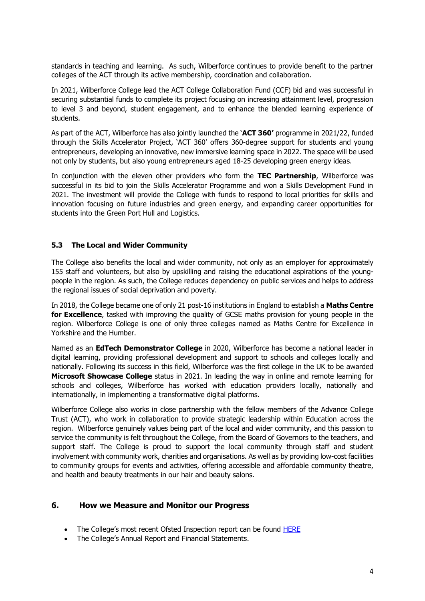standards in teaching and learning. As such, Wilberforce continues to provide benefit to the partner colleges of the ACT through its active membership, coordination and collaboration.

In 2021, Wilberforce College lead the ACT College Collaboration Fund (CCF) bid and was successful in securing substantial funds to complete its project focusing on increasing attainment level, progression to level 3 and beyond, student engagement, and to enhance the blended learning experience of students.

As part of the ACT, Wilberforce has also jointly launched the '**ACT 360'** programme in 2021/22, funded through the Skills Accelerator Project, 'ACT 360' offers 360-degree support for students and young entrepreneurs, developing an innovative, new immersive learning space in 2022. The space will be used not only by students, but also young entrepreneurs aged 18-25 developing green energy ideas.

In conjunction with the eleven other providers who form the **TEC Partnership**, Wilberforce was successful in its bid to join the Skills Accelerator Programme and won a Skills Development Fund in 2021. The investment will provide the College with funds to respond to local priorities for skills and innovation focusing on future industries and green energy, and expanding career opportunities for students into the Green Port Hull and Logistics.

### **5.3 The Local and Wider Community**

The College also benefits the local and wider community, not only as an employer for approximately 155 staff and volunteers, but also by upskilling and raising the educational aspirations of the youngpeople in the region. As such, the College reduces dependency on public services and helps to address the regional issues of social deprivation and poverty.

In 2018, the College became one of only 21 post-16 institutions in England to establish a **Maths Centre for Excellence**, tasked with improving the quality of GCSE maths provision for young people in the region. Wilberforce College is one of only three colleges named as Maths Centre for Excellence in Yorkshire and the Humber.

Named as an **EdTech Demonstrator College** in 2020, Wilberforce has become a national leader in digital learning, providing professional development and support to schools and colleges locally and nationally. Following its success in this field, Wilberforce was the first college in the UK to be awarded **Microsoft Showcase College** status in 2021. In leading the way in online and remote learning for schools and colleges, Wilberforce has worked with education providers locally, nationally and internationally, in implementing a transformative digital platforms.

Wilberforce College also works in close partnership with the fellow members of the Advance College Trust (ACT), who work in collaboration to provide strategic leadership within Education across the region. Wilberforce genuinely values being part of the local and wider community, and this passion to service the community is felt throughout the College, from the Board of Governors to the teachers, and support staff. The College is proud to support the local community through staff and student involvement with community work, charities and organisations. As well as by providing low-cost facilities to community groups for events and activities, offering accessible and affordable community theatre, and health and beauty treatments in our hair and beauty salons.

### **6. How we Measure and Monitor our Progress**

- The College's most recent Ofsted Inspection report can be found [HERE](https://reports.ofsted.gov.uk/provider/40/130580)
- The College's Annual Report and Financial Statements.